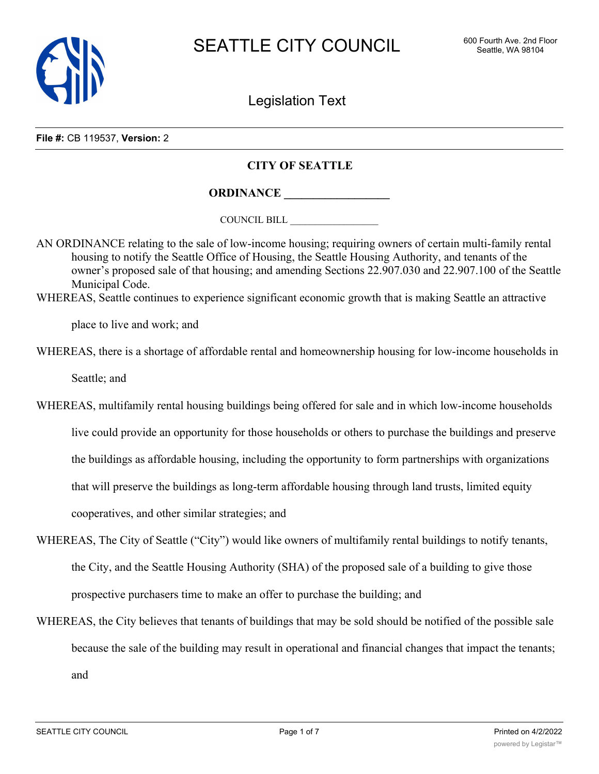

Legislation Text

#### **File #:** CB 119537, **Version:** 2

## **CITY OF SEATTLE**

**ORDINANCE \_\_\_\_\_\_\_\_\_\_\_\_\_\_\_\_\_\_**

COUNCIL BILL \_\_\_\_\_\_\_\_\_\_\_\_\_\_\_\_\_\_

AN ORDINANCE relating to the sale of low-income housing; requiring owners of certain multi-family rental housing to notify the Seattle Office of Housing, the Seattle Housing Authority, and tenants of the owner's proposed sale of that housing; and amending Sections 22.907.030 and 22.907.100 of the Seattle Municipal Code.

WHEREAS, Seattle continues to experience significant economic growth that is making Seattle an attractive

place to live and work; and

WHEREAS, there is a shortage of affordable rental and homeownership housing for low-income households in

Seattle; and

WHEREAS, multifamily rental housing buildings being offered for sale and in which low-income households live could provide an opportunity for those households or others to purchase the buildings and preserve the buildings as affordable housing, including the opportunity to form partnerships with organizations that will preserve the buildings as long-term affordable housing through land trusts, limited equity cooperatives, and other similar strategies; and

- WHEREAS, The City of Seattle ("City") would like owners of multifamily rental buildings to notify tenants, the City, and the Seattle Housing Authority (SHA) of the proposed sale of a building to give those prospective purchasers time to make an offer to purchase the building; and
- WHEREAS, the City believes that tenants of buildings that may be sold should be notified of the possible sale because the sale of the building may result in operational and financial changes that impact the tenants; and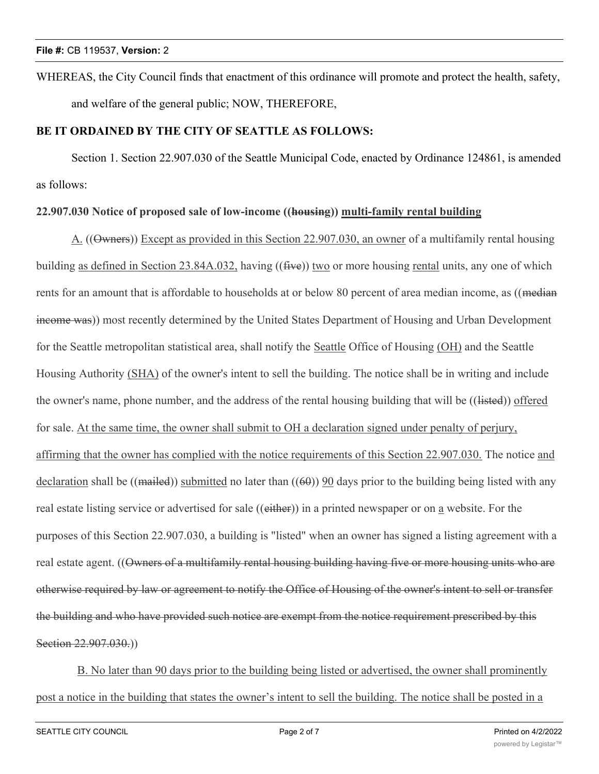WHEREAS, the City Council finds that enactment of this ordinance will promote and protect the health, safety, and welfare of the general public; NOW, THEREFORE,

# **BE IT ORDAINED BY THE CITY OF SEATTLE AS FOLLOWS:**

Section 1. Section 22.907.030 of the Seattle Municipal Code, enacted by Ordinance 124861, is amended as follows:

# **22.907.030 Notice of proposed sale of low-income ((housing)) multi-family rental building**

A. ((Owners)) Except as provided in this Section 22.907.030, an owner of a multifamily rental housing building as defined in Section 23.84A.032, having  $((\text{five}))$  two or more housing rental units, any one of which rents for an amount that is affordable to households at or below 80 percent of area median income, as ((median income was)) most recently determined by the United States Department of Housing and Urban Development for the Seattle metropolitan statistical area, shall notify the Seattle Office of Housing (OH) and the Seattle Housing Authority (SHA) of the owner's intent to sell the building. The notice shall be in writing and include the owner's name, phone number, and the address of the rental housing building that will be ((listed)) offered for sale. At the same time, the owner shall submit to OH a declaration signed under penalty of perjury, affirming that the owner has complied with the notice requirements of this Section 22.907.030. The notice and declaration shall be ((mailed)) submitted no later than  $((60))$  90 days prior to the building being listed with any real estate listing service or advertised for sale ((either)) in a printed newspaper or on a website. For the purposes of this Section 22.907.030, a building is "listed" when an owner has signed a listing agreement with a real estate agent. ((Owners of a multifamily rental housing building having five or more housing units who are otherwise required by law or agreement to notify the Office of Housing of the owner's intent to sell or transfer the building and who have provided such notice are exempt from the notice requirement prescribed by this Section 22.907.030.)

B. No later than 90 days prior to the building being listed or advertised, the owner shall prominently post a notice in the building that states the owner's intent to sell the building. The notice shall be posted in a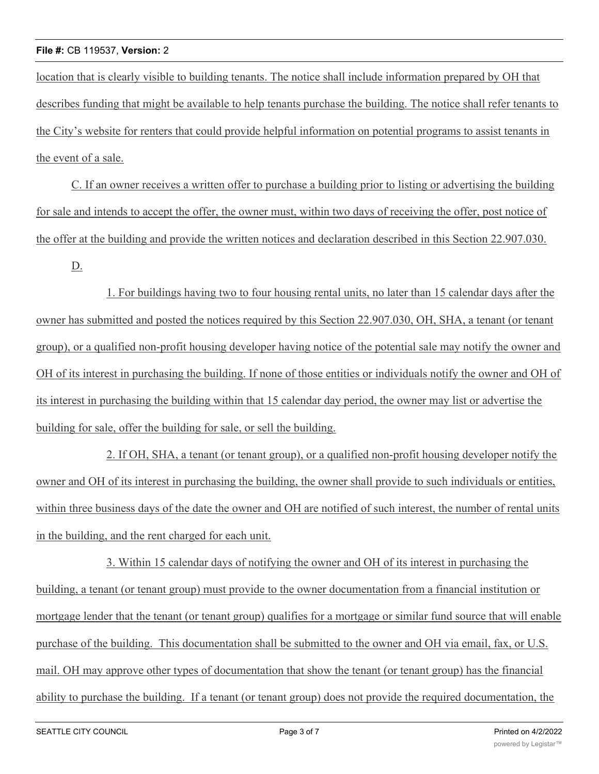### **File #:** CB 119537, **Version:** 2

location that is clearly visible to building tenants. The notice shall include information prepared by OH that describes funding that might be available to help tenants purchase the building. The notice shall refer tenants to the City's website for renters that could provide helpful information on potential programs to assist tenants in the event of a sale.

C. If an owner receives a written offer to purchase a building prior to listing or advertising the building for sale and intends to accept the offer, the owner must, within two days of receiving the offer, post notice of the offer at the building and provide the written notices and declaration described in this Section 22.907.030.

D.

1. For buildings having two to four housing rental units, no later than 15 calendar days after the owner has submitted and posted the notices required by this Section 22.907.030, OH, SHA, a tenant (or tenant group), or a qualified non-profit housing developer having notice of the potential sale may notify the owner and OH of its interest in purchasing the building. If none of those entities or individuals notify the owner and OH of its interest in purchasing the building within that 15 calendar day period, the owner may list or advertise the building for sale, offer the building for sale, or sell the building.

2. If OH, SHA, a tenant (or tenant group), or a qualified non-profit housing developer notify the owner and OH of its interest in purchasing the building, the owner shall provide to such individuals or entities, within three business days of the date the owner and OH are notified of such interest, the number of rental units in the building, and the rent charged for each unit.

3. Within 15 calendar days of notifying the owner and OH of its interest in purchasing the building, a tenant (or tenant group) must provide to the owner documentation from a financial institution or mortgage lender that the tenant (or tenant group) qualifies for a mortgage or similar fund source that will enable purchase of the building. This documentation shall be submitted to the owner and OH via email, fax, or U.S. mail. OH may approve other types of documentation that show the tenant (or tenant group) has the financial ability to purchase the building. If a tenant (or tenant group) does not provide the required documentation, the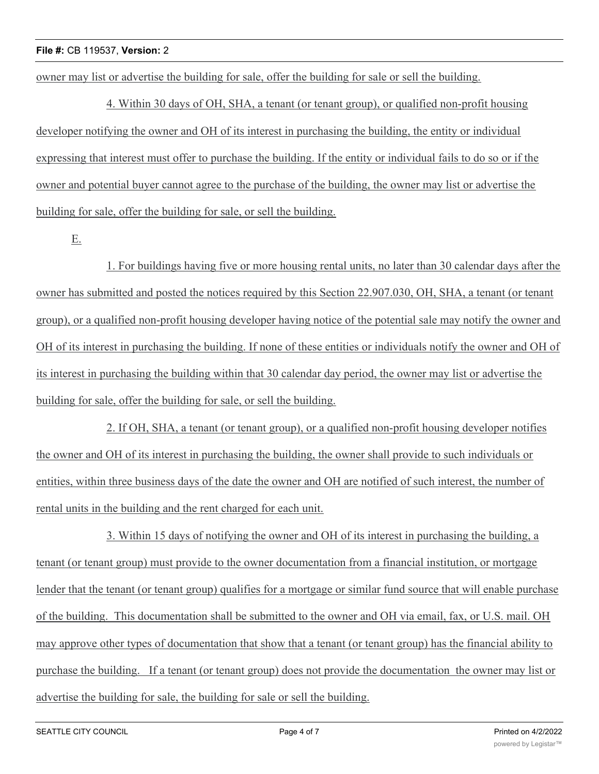owner may list or advertise the building for sale, offer the building for sale or sell the building.

4. Within 30 days of OH, SHA, a tenant (or tenant group), or qualified non-profit housing developer notifying the owner and OH of its interest in purchasing the building, the entity or individual expressing that interest must offer to purchase the building. If the entity or individual fails to do so or if the owner and potential buyer cannot agree to the purchase of the building, the owner may list or advertise the building for sale, offer the building for sale, or sell the building.

E.

1. For buildings having five or more housing rental units, no later than 30 calendar days after the owner has submitted and posted the notices required by this Section 22.907.030, OH, SHA, a tenant (or tenant group), or a qualified non-profit housing developer having notice of the potential sale may notify the owner and OH of its interest in purchasing the building. If none of these entities or individuals notify the owner and OH of its interest in purchasing the building within that 30 calendar day period, the owner may list or advertise the building for sale, offer the building for sale, or sell the building.

2. If OH, SHA, a tenant (or tenant group), or a qualified non-profit housing developer notifies the owner and OH of its interest in purchasing the building, the owner shall provide to such individuals or entities, within three business days of the date the owner and OH are notified of such interest, the number of rental units in the building and the rent charged for each unit.

3. Within 15 days of notifying the owner and OH of its interest in purchasing the building, a tenant (or tenant group) must provide to the owner documentation from a financial institution, or mortgage lender that the tenant (or tenant group) qualifies for a mortgage or similar fund source that will enable purchase of the building. This documentation shall be submitted to the owner and OH via email, fax, or U.S. mail. OH may approve other types of documentation that show that a tenant (or tenant group) has the financial ability to purchase the building. If a tenant (or tenant group) does not provide the documentation the owner may list or advertise the building for sale, the building for sale or sell the building.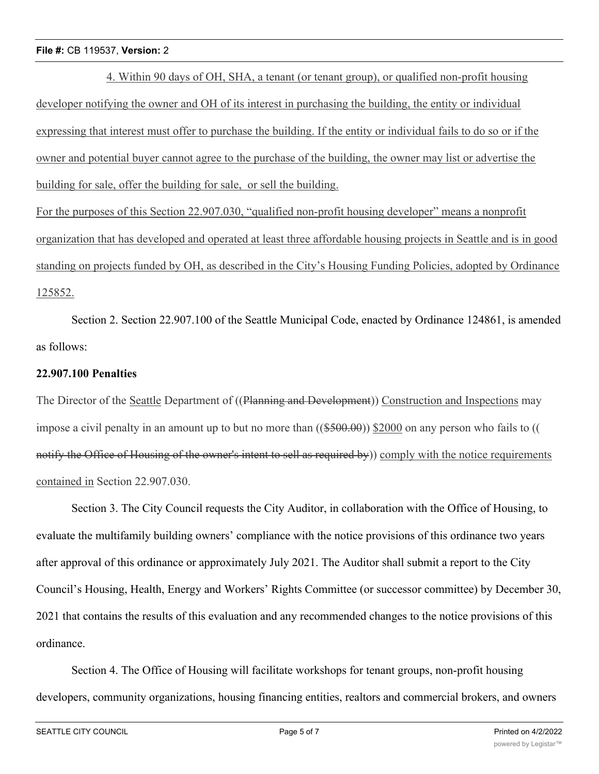### **File #:** CB 119537, **Version:** 2

4. Within 90 days of OH, SHA, a tenant (or tenant group), or qualified non-profit housing developer notifying the owner and OH of its interest in purchasing the building, the entity or individual expressing that interest must offer to purchase the building. If the entity or individual fails to do so or if the owner and potential buyer cannot agree to the purchase of the building, the owner may list or advertise the building for sale, offer the building for sale, or sell the building.

For the purposes of this Section 22.907.030, "qualified non-profit housing developer" means a nonprofit organization that has developed and operated at least three affordable housing projects in Seattle and is in good standing on projects funded by OH, as described in the City's Housing Funding Policies, adopted by Ordinance 125852.

Section 2. Section 22.907.100 of the Seattle Municipal Code, enacted by Ordinance 124861, is amended as follows:

### **22.907.100 Penalties**

The Director of the Seattle Department of ((Planning and Development)) Construction and Inspections may impose a civil penalty in an amount up to but no more than  $((\$500.00))$  \$2000 on any person who fails to  $(($ notify the Office of Housing of the owner's intent to sell as required by)) comply with the notice requirements contained in Section 22.907.030.

Section 3. The City Council requests the City Auditor, in collaboration with the Office of Housing, to evaluate the multifamily building owners' compliance with the notice provisions of this ordinance two years after approval of this ordinance or approximately July 2021. The Auditor shall submit a report to the City Council's Housing, Health, Energy and Workers' Rights Committee (or successor committee) by December 30, 2021 that contains the results of this evaluation and any recommended changes to the notice provisions of this ordinance.

Section 4. The Office of Housing will facilitate workshops for tenant groups, non-profit housing developers, community organizations, housing financing entities, realtors and commercial brokers, and owners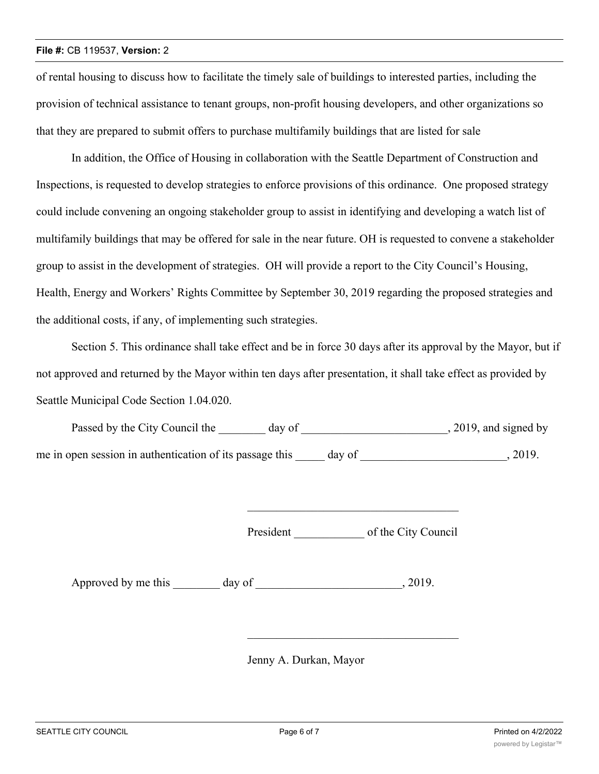#### **File #:** CB 119537, **Version:** 2

of rental housing to discuss how to facilitate the timely sale of buildings to interested parties, including the provision of technical assistance to tenant groups, non-profit housing developers, and other organizations so that they are prepared to submit offers to purchase multifamily buildings that are listed for sale

In addition, the Office of Housing in collaboration with the Seattle Department of Construction and Inspections, is requested to develop strategies to enforce provisions of this ordinance. One proposed strategy could include convening an ongoing stakeholder group to assist in identifying and developing a watch list of multifamily buildings that may be offered for sale in the near future. OH is requested to convene a stakeholder group to assist in the development of strategies. OH will provide a report to the City Council's Housing, Health, Energy and Workers' Rights Committee by September 30, 2019 regarding the proposed strategies and the additional costs, if any, of implementing such strategies.

Section 5. This ordinance shall take effect and be in force 30 days after its approval by the Mayor, but if not approved and returned by the Mayor within ten days after presentation, it shall take effect as provided by Seattle Municipal Code Section 1.04.020.

Passed by the City Council the \_\_\_\_\_\_\_ day of \_\_\_\_\_\_\_\_\_\_\_\_\_\_\_\_\_\_\_\_\_\_\_\_, 2019, and signed by me in open session in authentication of its passage this day of  $\qquad \qquad$ , 2019.

President of the City Council

Approved by me this day of the case of the case of the case of  $\alpha$ , 2019.

Jenny A. Durkan, Mayor